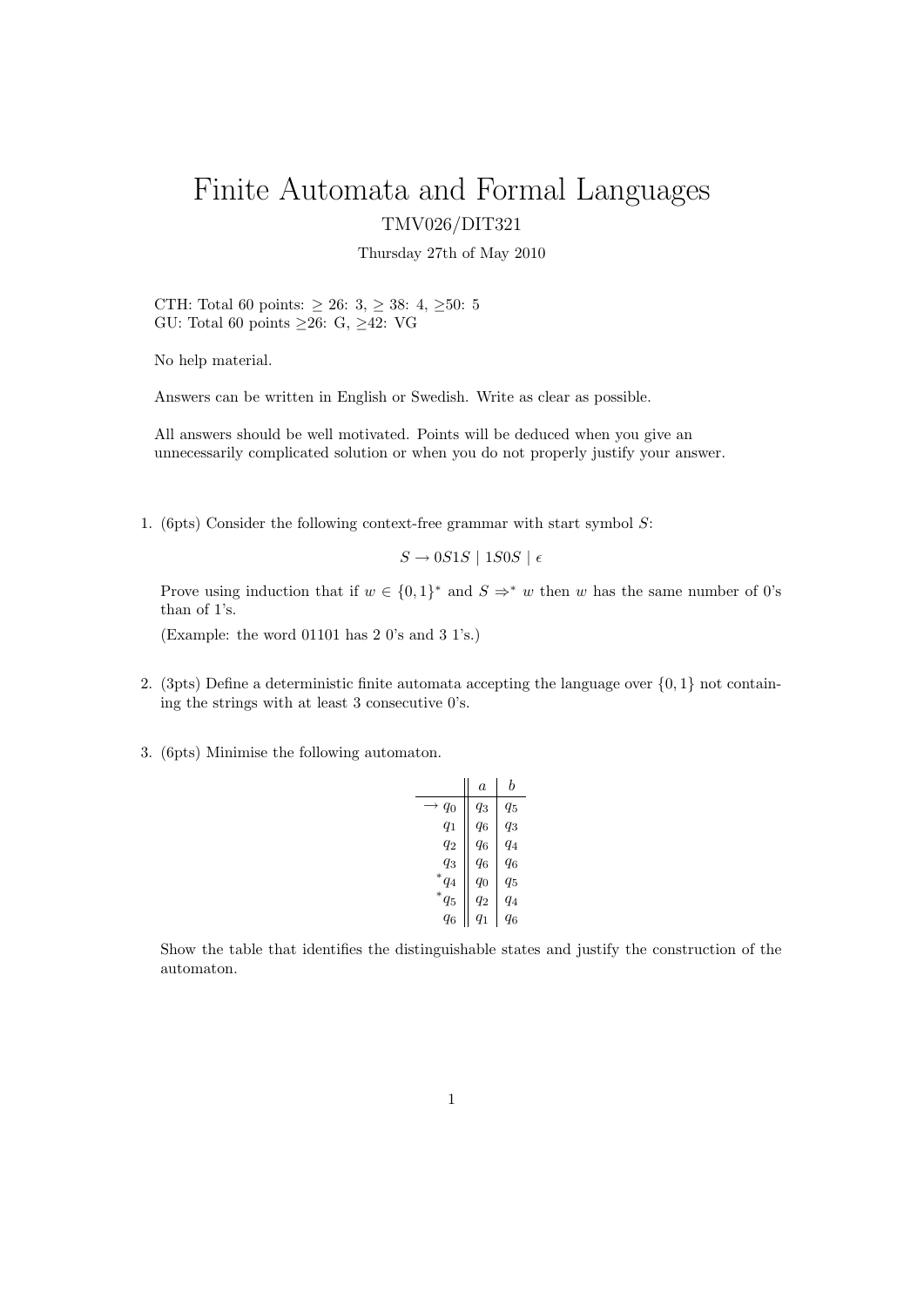## Finite Automata and Formal Languages TMV026/DIT321

Thursday 27th of May 2010

CTH: Total 60 points:  $\geq$  26: 3,  $\geq$  38: 4,  $\geq\!50\mathrm{:}~5$ GU: Total 60 points  $\geq 26$ : G,  $\geq 42$ : VG

No help material.

Answers can be written in English or Swedish. Write as clear as possible.

All answers should be well motivated. Points will be deduced when you give an unnecessarily complicated solution or when you do not properly justify your answer.

1. (6pts) Consider the following context-free grammar with start symbol  $S$ :

 $S \rightarrow 0S1S$  | 1S0S |  $\epsilon$ 

Prove using induction that if  $w \in \{0,1\}^*$  and  $S \Rightarrow^* w$  then w has the same number of 0's than of 1's.

(Example: the word 01101 has 2 0's and 3 1's.)

- 2. (3pts) Define a deterministic finite automata accepting the language over  $\{0, 1\}$  not containing the strings with at least 3 consecutive 0's.
- 3. (6pts) Minimise the following automaton.

| a     | h       |
|-------|---------|
| qз    | 95      |
| $q_6$ | $q_3$   |
| $q_6$ | $q_4$   |
| $q_6$ | q6      |
| $q_0$ | $q_{5}$ |
| q2    | $q_4$   |
| $q_1$ | 96      |
|       |         |

Show the table that identifies the distinguishable states and justify the construction of the automaton.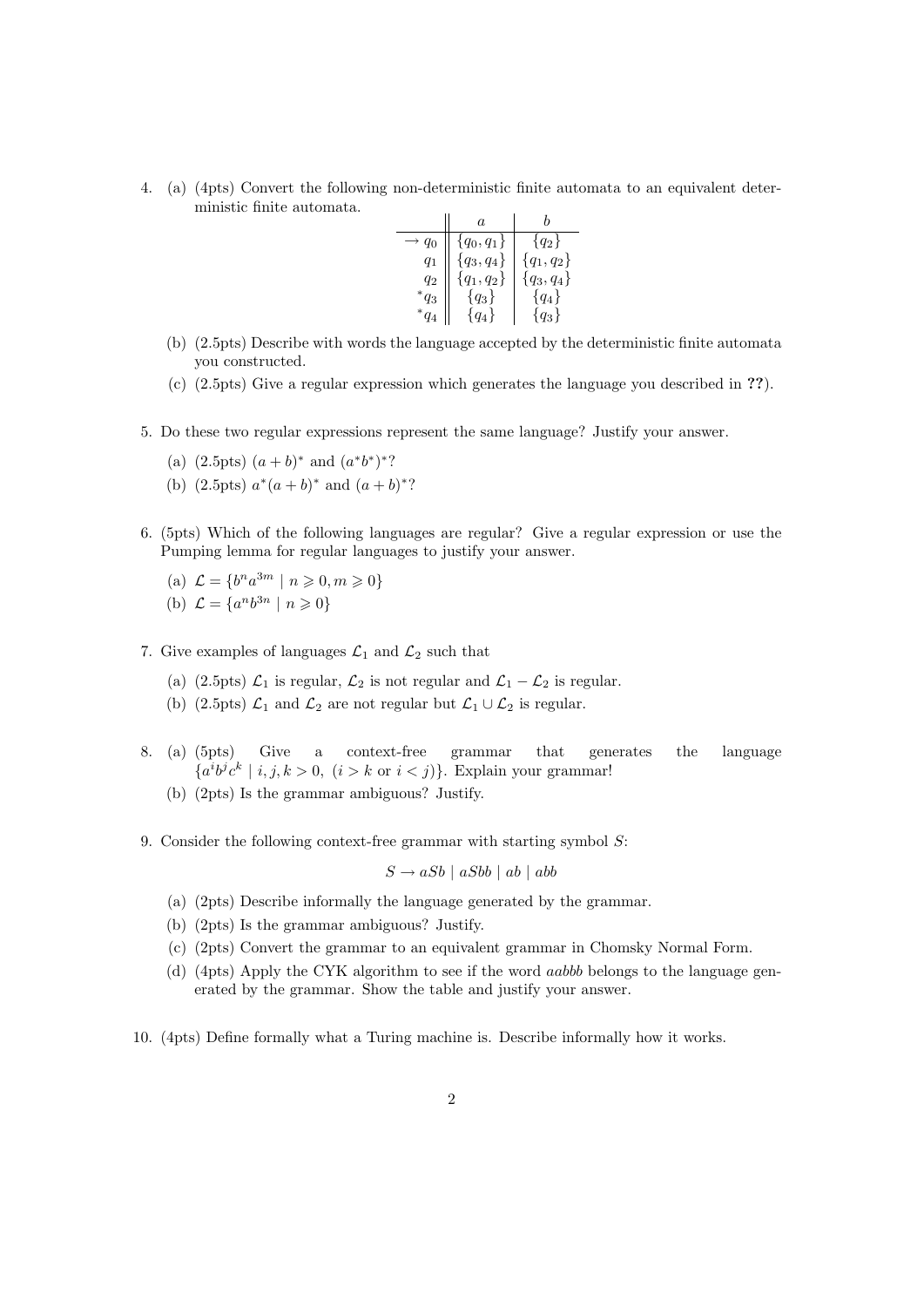4. (a) (4pts) Convert the following non-deterministic finite automata to an equivalent deterministic finite automata.

|           | a              |              |
|-----------|----------------|--------------|
| $q_0$     | $\{q_0, q_1\}$ | ${q_2}$      |
| $q_1$     | ${q_3, q_4}$   | ${q_1, q_2}$ |
| $q_2$     | ${q_1, q_2}$   | ${q_3, q_4}$ |
| ${}^*q_3$ | ${q_3}$        | ${q_4}$      |
|           | $\{q_4\}$      | ${q_3}$      |

- (b) (2.5pts) Describe with words the language accepted by the deterministic finite automata you constructed.
- (c) (2.5pts) Give a regular expression which generates the language you described in ??).
- 5. Do these two regular expressions represent the same language? Justify your answer.
	- (a)  $(2.5pts) (a + b)^*$  and  $(a^*b^*)^*$ ?
	- (b)  $(2.5pts) a^*(a+b)^*$  and  $(a+b)^*$ ?
- 6. (5pts) Which of the following languages are regular? Give a regular expression or use the Pumping lemma for regular languages to justify your answer.
	- (a)  $\mathcal{L} = \{b^n a^{3m} \mid n \geqslant 0, m \geqslant 0\}$ (b)  $\mathcal{L} = \{a^n b^{3n} \mid n \geq 0\}$
- 7. Give examples of languages  $\mathcal{L}_1$  and  $\mathcal{L}_2$  such that
	- (a) (2.5pts)  $\mathcal{L}_1$  is regular,  $\mathcal{L}_2$  is not regular and  $\mathcal{L}_1 \mathcal{L}_2$  is regular.
	- (b) (2.5pts)  $\mathcal{L}_1$  and  $\mathcal{L}_2$  are not regular but  $\mathcal{L}_1 \cup \mathcal{L}_2$  is regular.
- 8. (a) (5pts) Give a context-free grammar that generates the language  ${a^i b^j c^k \mid i, j, k > 0, (i > k \text{ or } i < j)}$ . Explain your grammar!
	- (b) (2pts) Is the grammar ambiguous? Justify.
- 9. Consider the following context-free grammar with starting symbol S:

$$
S \to aSb \mid aSbb \mid ab \mid abb
$$

- (a) (2pts) Describe informally the language generated by the grammar.
- (b) (2pts) Is the grammar ambiguous? Justify.
- (c) (2pts) Convert the grammar to an equivalent grammar in Chomsky Normal Form.
- (d) (4pts) Apply the CYK algorithm to see if the word aabbb belongs to the language generated by the grammar. Show the table and justify your answer.
- 10. (4pts) Define formally what a Turing machine is. Describe informally how it works.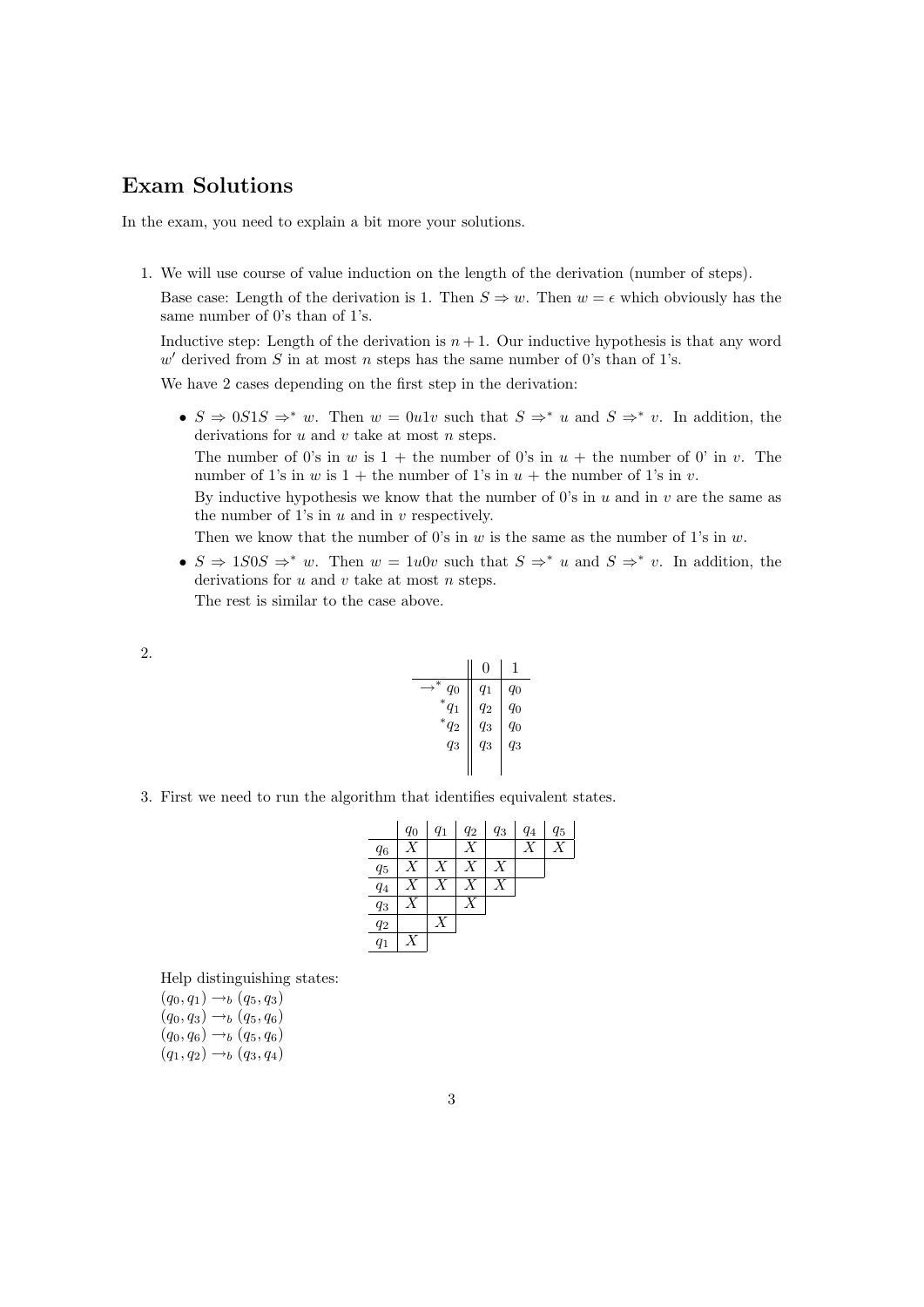## Exam Solutions

In the exam, you need to explain a bit more your solutions.

1. We will use course of value induction on the length of the derivation (number of steps).

Base case: Length of the derivation is 1. Then  $S \Rightarrow w$ . Then  $w = \epsilon$  which obviously has the same number of 0's than of 1's.

Inductive step: Length of the derivation is  $n + 1$ . Our inductive hypothesis is that any word  $w'$  derived from S in at most n steps has the same number of 0's than of 1's.

We have 2 cases depending on the first step in the derivation:

•  $S \Rightarrow 0S1S \Rightarrow^* w$ . Then  $w = 0u1v$  such that  $S \Rightarrow^* u$  and  $S \Rightarrow^* v$ . In addition, the derivations for  $u$  and  $v$  take at most  $n$  steps.

The number of 0's in w is  $1 +$  the number of 0's in  $u +$  the number of 0' in v. The number of 1's in w is  $1 +$  the number of 1's in  $u +$  the number of 1's in v.

By inductive hypothesis we know that the number of 0's in  $u$  and in  $v$  are the same as the number of 1's in  $u$  and in  $v$  respectively.

Then we know that the number of 0's in  $w$  is the same as the number of 1's in  $w$ .

•  $S \Rightarrow 1S0S \Rightarrow^* w$ . Then  $w = 1u0v$  such that  $S \Rightarrow^* u$  and  $S \Rightarrow^* v$ . In addition, the derivations for  $u$  and  $v$  take at most  $n$  steps. The rest is similar to the case above.

| ۹ |  |
|---|--|
|   |  |

|                 | 0     | 1     |
|-----------------|-------|-------|
| ∗<br>$q_0$      | $q_1$ | q0    |
| ${}^*q_1$       | $q_2$ | $q_0$ |
| $\sqrt[*]{q_2}$ | $q_3$ | $q_0$ |
| $q_3$           | $q_3$ | $q_3$ |
|                 |       |       |

3. First we need to run the algorithm that identifies equivalent states.

|       | $q_0$ | $q_1$          | $q_2$            | $q_3$ | $q_4$ | $q_5$ |
|-------|-------|----------------|------------------|-------|-------|-------|
| $q_6$ | X     |                | Х                |       | Х     | v     |
| $q_5$ | X     | Χ              | $\boldsymbol{X}$ | Χ     |       |       |
| $q_4$ |       | $\overline{X}$ |                  |       |       |       |
| $q_3$ | X     |                |                  |       |       |       |
| $q_2$ |       | Χ              |                  |       |       |       |
| $q_1$ |       |                |                  |       |       |       |

Help distinguishing states:

 $(q_0, q_1) \rightarrow_b (q_5, q_3)$  $(q_0, q_3) \rightarrow_b (q_5, q_6)$  $(q_0, q_6) \rightarrow_b (q_5, q_6)$  $(q_1, q_2) \rightarrow_b (q_3, q_4)$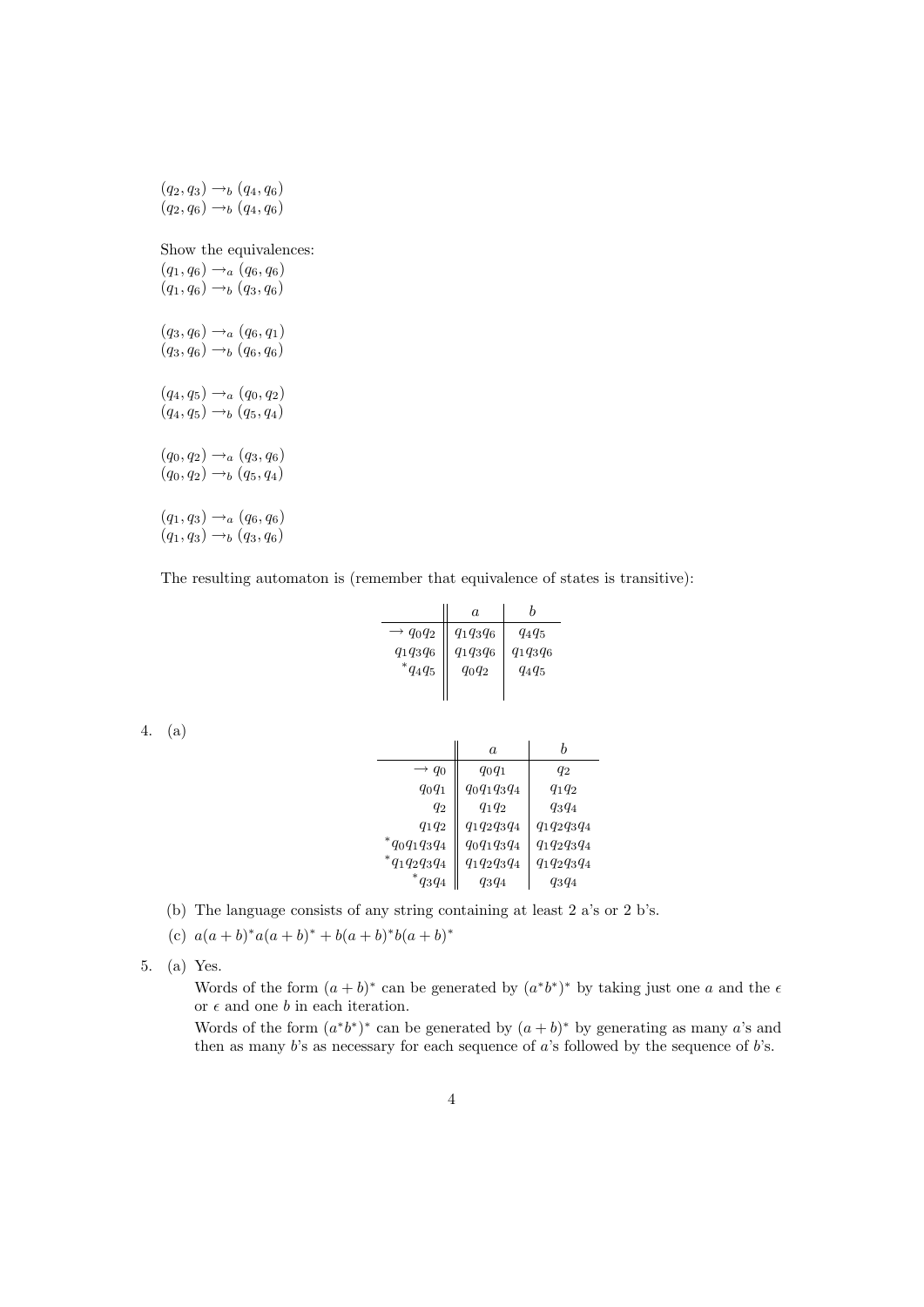$(q_2, q_3) \rightarrow_b (q_4, q_6)$  $(q_2, q_6) \rightarrow_b (q_4, q_6)$ Show the equivalences:  $(q_1, q_6) \rightarrow_a (q_6, q_6)$  $(q_1, q_6) \rightarrow_b (q_3, q_6)$  $(q_3, q_6) \rightarrow_a (q_6, q_1)$  $(q_3, q_6) \rightarrow_b (q_6, q_6)$  $(q_4, q_5) \rightarrow_a (q_0, q_2)$  $(q_4, q_5) \rightarrow_b (q_5, q_4)$  $(q_0, q_2) \rightarrow_a (q_3, q_6)$  $(q_0, q_2) \rightarrow_b (q_5, q_4)$  $(q_1, q_3) \rightarrow_a (q_6, q_6)$  $(q_1, q_3) \rightarrow_b (q_3, q_6)$ 

The resulting automaton is (remember that equivalence of states is transitive):

|                      | $\alpha$    |             |
|----------------------|-------------|-------------|
| $\rightarrow q_0q_2$ | $q_1q_3q_6$ | $q_4q_5$    |
| $q_1q_3q_6$          | $q_1q_3q_6$ | $q_1q_3q_6$ |
| $^{\ast}q_{4}q_{5}$  | $q_0q_2$    | $q_4q_5$    |
|                      |             |             |

4. (a)

|                    | $\alpha$       |                |
|--------------------|----------------|----------------|
| $\rightarrow q_0$  | $q_0q_1$       | $q_2$          |
| $q_0q_1$           | $q_0q_1q_3q_4$ | $q_1q_2$       |
| $q_2$              | $q_1q_2$       | $q_3q_4$       |
| $q_1q_2$           | $q_1q_2q_3q_4$ | $q_1q_2q_3q_4$ |
| $*_{q_0q_1q_3q_4}$ | $q_0q_1q_3q_4$ | $q_1q_2q_3q_4$ |
| $*_{q_1q_2q_3q_4}$ | $q_1q_2q_3q_4$ | $q_1q_2q_3q_4$ |
| $*_{q_3q_4}$       | $q_3q_4$       | $q_3q_4$       |

- (b) The language consists of any string containing at least 2 a's or 2 b's.
- (c)  $a(a+b)^*a(a+b)^* + b(a+b)^*b(a+b)^*$
- 5. (a) Yes.

Words of the form  $(a + b)^*$  can be generated by  $(a^*b^*)^*$  by taking just one a and the  $\epsilon$ or  $\epsilon$  and one b in each iteration.

Words of the form  $(a^*b^*)^*$  can be generated by  $(a + b)^*$  by generating as many a's and then as many  $b$ 's as necessary for each sequence of  $a$ 's followed by the sequence of  $b$ 's.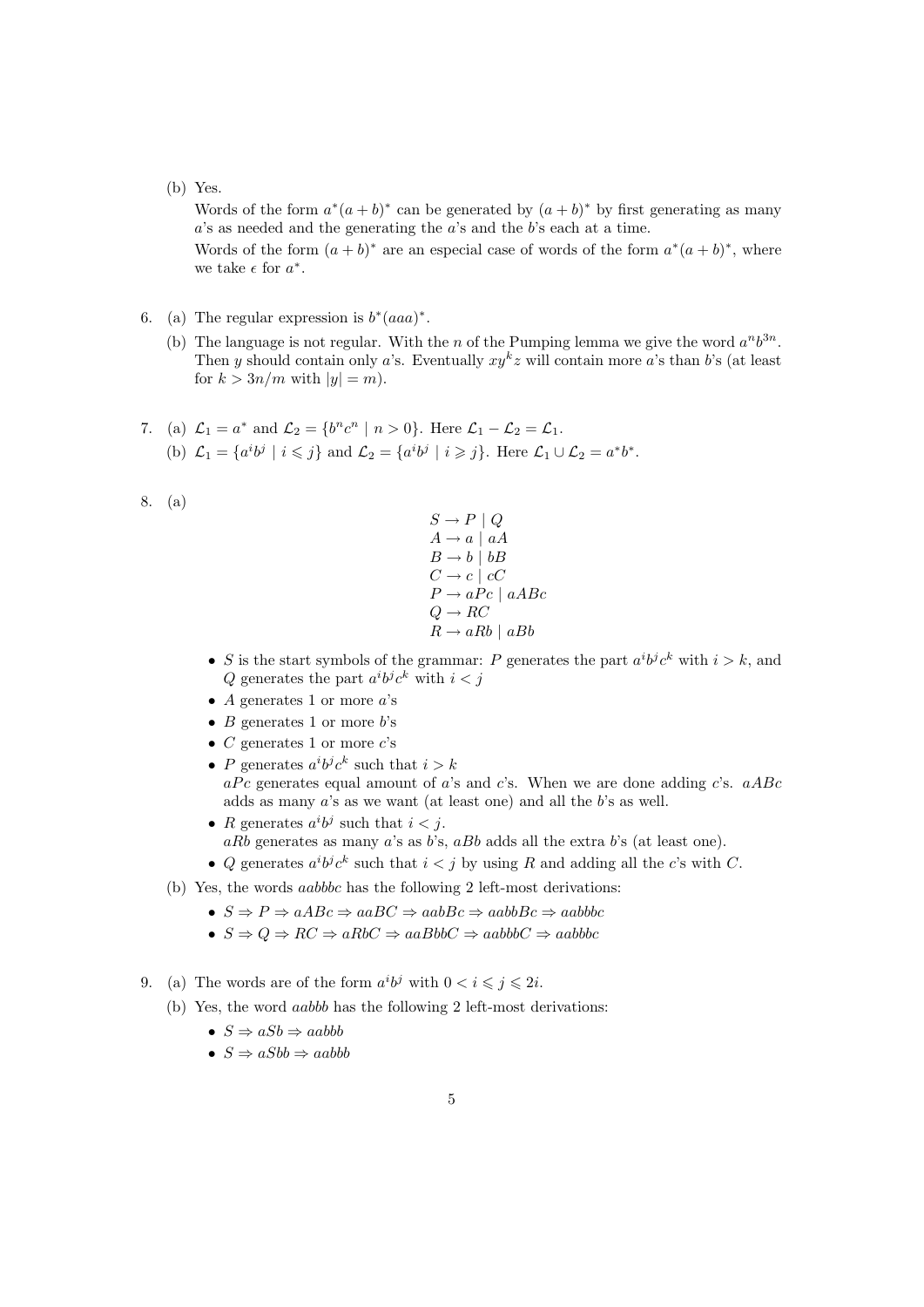## (b) Yes.

Words of the form  $a^*(a+b)^*$  can be generated by  $(a+b)^*$  by first generating as many a's as needed and the generating the a's and the b's each at a time.

Words of the form  $(a + b)^*$  are an especial case of words of the form  $a^*(a + b)^*$ , where we take  $\epsilon$  for  $a^*$ .

- 6. (a) The regular expression is  $b^*(aaa)^*$ .
	- (b) The language is not regular. With the *n* of the Pumping lemma we give the word  $a^n b^{3n}$ . Then y should contain only a's. Eventually  $xy^kz$  will contain more a's than b's (at least for  $k > 3n/m$  with  $|y| = m$ ).
- 7. (a)  $\mathcal{L}_1 = a^*$  and  $\mathcal{L}_2 = \{b^n c^n \mid n > 0\}$ . Here  $\mathcal{L}_1 \mathcal{L}_2 = \mathcal{L}_1$ . (b)  $\mathcal{L}_1 = \{a^i b^j \mid i \leq j\}$  and  $\mathcal{L}_2 = \{a^i b^j \mid i \geq j\}$ . Here  $\mathcal{L}_1 \cup \mathcal{L}_2 = a^* b^*$ .
- 8. (a)
- $S \to P \mid Q$  $A \rightarrow a \mid aA$  $B \rightarrow b \mid bB$  $C \rightarrow c \mid cC$  $P \rightarrow aPc \mid aABC$  $Q \rightarrow RC$  $R \rightarrow aRb \mid aBb$
- S is the start symbols of the grammar: P generates the part  $a^i b^j c^k$  with  $i > k$ , and Q generates the part  $a^i b^j c^k$  with  $i < j$
- A generates 1 or more  $a$ 's
- B generates 1 or more  $b$ 's
- $C$  generates 1 or more  $c$ 's
- P generates  $a^i b^j c^k$  such that  $i > k$  $aP_c$  generates equal amount of a's and c's. When we are done adding c's.  $aABC$ adds as many a's as we want (at least one) and all the b's as well.
- R generates  $a^i b^j$  such that  $i < j$ .  $aRb$  generates as many  $a$ 's as  $b$ 's,  $aBb$  adds all the extra  $b$ 's (at least one).
- Q generates  $a^i b^j c^k$  such that  $i < j$  by using R and adding all the c's with C.
- (b) Yes, the words aabbbc has the following 2 left-most derivations:
	- $S \Rightarrow P \Rightarrow aABC \Rightarrow aaBC \Rightarrow aabBC \Rightarrow aabbBC \Rightarrow aabbbc$
	- $S \Rightarrow Q \Rightarrow RC \Rightarrow aRbC \Rightarrow aaBbbC \Rightarrow aabbbC \Rightarrow aabbbC$
- 9. (a) The words are of the form  $a^i b^j$  with  $0 < i \leq j \leq 2i$ .
	- (b) Yes, the word aabbb has the following 2 left-most derivations:
		- $S \Rightarrow aSb \Rightarrow aabbb$
		- $S \Rightarrow aSbb \Rightarrow aabbb$